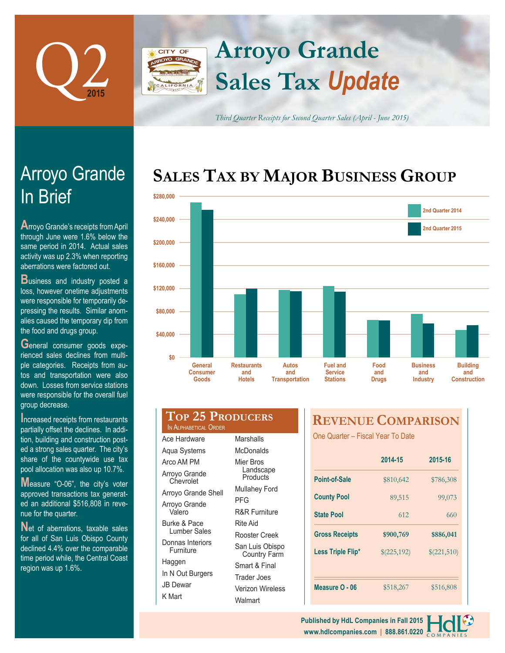

## **Arroyo Grande CITY OF Sales Tax** *Update*

*Third Quarter Receipts for Second Quarter Sales (April - June 2015)*

# **SALES TAX BY MAJOR BUSINESS GROUP**



| \$80,000                                          |                                            |                                       |                                                      |                             |   |
|---------------------------------------------------|--------------------------------------------|---------------------------------------|------------------------------------------------------|-----------------------------|---|
| \$40,000                                          |                                            |                                       |                                                      |                             |   |
| \$0<br><b>General</b><br><b>Consumer</b><br>Goods | <b>Restaurants</b><br>and<br><b>Hotels</b> | Autos<br>and<br><b>Transportation</b> | <b>Fuel and</b><br><b>Service</b><br><b>Stations</b> | Food<br>and<br><b>Drugs</b> | E |
| <b>TOP 25 PRODUCERS</b><br>IN ALPHABETICAL ORDER  |                                            |                                       | <b>REVENUE COMP</b>                                  |                             |   |
| Ace Hardware                                      | <b>Marshalls</b>                           |                                       | One Quarter - Fiscal Year To Date                    |                             |   |
| Aqua Systems                                      | <b>McDonalds</b>                           |                                       |                                                      |                             |   |
| Arco AM PM                                        | Mier Bros                                  |                                       |                                                      | 2014-15                     |   |
| Arroyo Grande<br>Chevrolet                        | Landscape<br>Products                      |                                       |                                                      |                             |   |
|                                                   | Mullahey Ford                              |                                       | <b>Point-of-Sale</b>                                 | \$810,642                   |   |

|                       | 2017-10     | 2010-10<br>\$786,308 |  |
|-----------------------|-------------|----------------------|--|
| Point-of-Sale         | \$810,642   |                      |  |
| <b>County Pool</b>    | 89,515      | 99,073               |  |
| <b>State Pool</b>     | 612         | 660                  |  |
| <b>Gross Receipts</b> | \$900,769   | \$886,041            |  |
| Less Triple Flip*     | \$(225,192) | \$(221,510)          |  |
|                       |             |                      |  |
| Measure O - 06        | \$518,267   | \$516,808            |  |

**2014-15 2015-16**

**PARISON** 

# In Brief Arroyo Grande

**A**rroyo Grande's receipts from April through June were 1.6% below the same period in 2014. Actual sales activity was up 2.3% when reporting aberrations were factored out.

**Business and industry posted a** loss, however onetime adjustments were responsible for temporarily depressing the results. Similar anomalies caused the temporary dip from the food and drugs group.

**G**eneral consumer goods experienced sales declines from multiple categories. Receipts from autos and transportation were also down. Losses from service stations were responsible for the overall fuel group decrease.

**I**ncreased receipts from restaurants partially offset the declines. In addition, building and construction posted a strong sales quarter. The city's share of the countywide use tax pool allocation was also up 10.7%.

**M**easure "O-06", the city's voter approved transactions tax generated an additional \$516,808 in revenue for the quarter.

Net of aberrations, taxable sales for all of San Luis Obispo County declined 4.4% over the comparable time period while, the Central Coast region was up 1.6%.

| IN ALPHABETICAL ORDER         |                                        |  |  |
|-------------------------------|----------------------------------------|--|--|
| Ace Hardware                  | Marshalls                              |  |  |
| Aqua Systems                  | McDonalds                              |  |  |
| Arco AM PM                    | Mier Bros                              |  |  |
| Arroyo Grande<br>Chevrolet    | Landscape<br>Products                  |  |  |
| Arroyo Grande Shell           | Mullahey Ford                          |  |  |
| Arroyo Grande                 | PFG                                    |  |  |
| Valero                        | <b>R&amp;R Furniture</b>               |  |  |
| <b>Burke &amp; Pace</b>       | Rite Aid                               |  |  |
| Lumber Sales                  | Rooster Creek                          |  |  |
| Donnas Interiors<br>Furniture | San Luis Obispo<br><b>Country Farm</b> |  |  |
| Haggen                        | Smart & Final                          |  |  |
| In N Out Burgers              | Trader Joes                            |  |  |

Verizon Wireless

**Walmart** 

JB Dewar K Mart